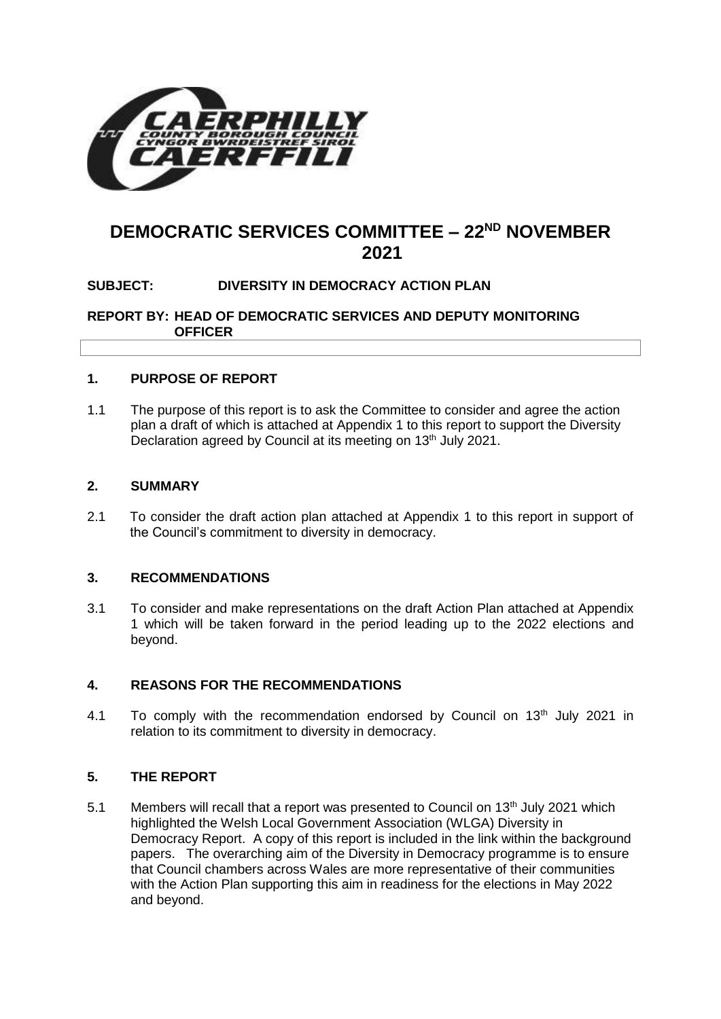

# **DEMOCRATIC SERVICES COMMITTEE – 22ND NOVEMBER 2021**

# **SUBJECT: DIVERSITY IN DEMOCRACY ACTION PLAN**

**REPORT BY: HEAD OF DEMOCRATIC SERVICES AND DEPUTY MONITORING OFFICER**

# **1. PURPOSE OF REPORT**

1.1 The purpose of this report is to ask the Committee to consider and agree the action plan a draft of which is attached at Appendix 1 to this report to support the Diversity Declaration agreed by Council at its meeting on 13<sup>th</sup> July 2021.

#### **2. SUMMARY**

2.1 To consider the draft action plan attached at Appendix 1 to this report in support of the Council's commitment to diversity in democracy.

## **3. RECOMMENDATIONS**

3.1 To consider and make representations on the draft Action Plan attached at Appendix 1 which will be taken forward in the period leading up to the 2022 elections and beyond.

# **4. REASONS FOR THE RECOMMENDATIONS**

4.1 To comply with the recommendation endorsed by Council on 13<sup>th</sup> July 2021 in relation to its commitment to diversity in democracy.

# **5. THE REPORT**

5.1 Members will recall that a report was presented to Council on 13<sup>th</sup> July 2021 which highlighted the Welsh Local Government Association (WLGA) Diversity in Democracy Report. A copy of this report is included in the link within the background papers. The overarching aim of the Diversity in Democracy programme is to ensure that Council chambers across Wales are more representative of their communities with the Action Plan supporting this aim in readiness for the elections in May 2022 and beyond.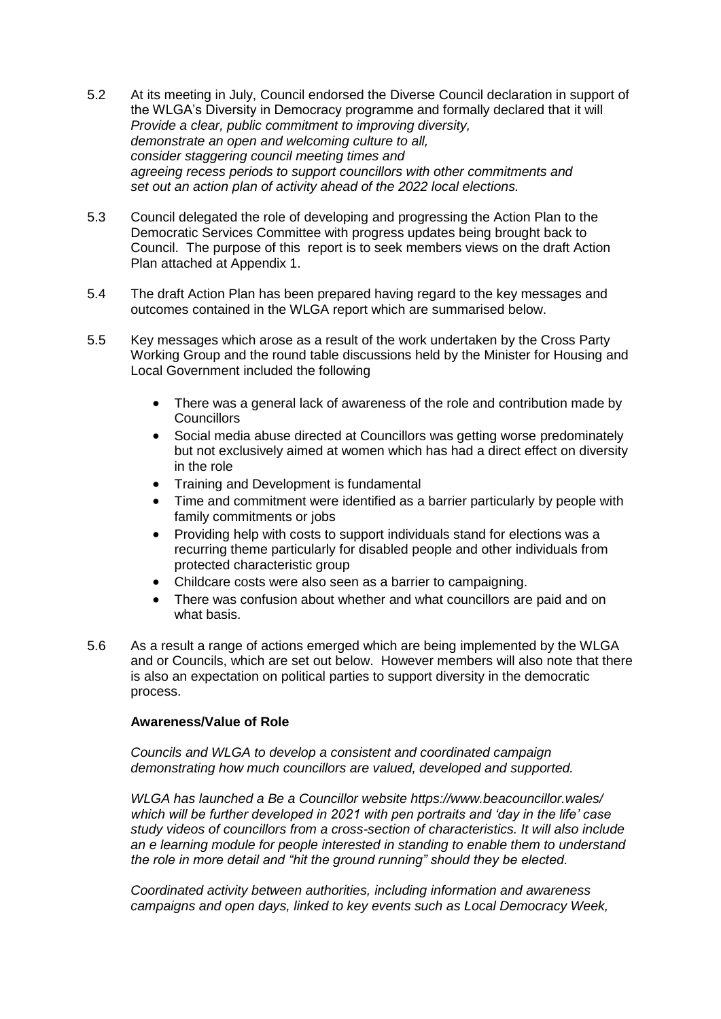- 5.2 At its meeting in July, Council endorsed the Diverse Council declaration in support of the WLGA's Diversity in Democracy programme and formally declared that it will *Provide a clear, public commitment to improving diversity, demonstrate an open and welcoming culture to all, consider staggering council meeting times and agreeing recess periods to support councillors with other commitments and set out an action plan of activity ahead of the 2022 local elections.*
- 5.3 Council delegated the role of developing and progressing the Action Plan to the Democratic Services Committee with progress updates being brought back to Council. The purpose of this report is to seek members views on the draft Action Plan attached at Appendix 1.
- 5.4 The draft Action Plan has been prepared having regard to the key messages and outcomes contained in the WLGA report which are summarised below.
- 5.5 Key messages which arose as a result of the work undertaken by the Cross Party Working Group and the round table discussions held by the Minister for Housing and Local Government included the following
	- There was a general lack of awareness of the role and contribution made by **Councillors**
	- Social media abuse directed at Councillors was getting worse predominately but not exclusively aimed at women which has had a direct effect on diversity in the role
	- Training and Development is fundamental
	- Time and commitment were identified as a barrier particularly by people with family commitments or jobs
	- Providing help with costs to support individuals stand for elections was a recurring theme particularly for disabled people and other individuals from protected characteristic group
	- Childcare costs were also seen as a barrier to campaigning.
	- There was confusion about whether and what councillors are paid and on what basis.
- 5.6 As a result a range of actions emerged which are being implemented by the WLGA and or Councils, which are set out below. However members will also note that there is also an expectation on political parties to support diversity in the democratic process.

# **Awareness/Value of Role**

*Councils and WLGA to develop a consistent and coordinated campaign demonstrating how much councillors are valued, developed and supported.*

*WLGA has launched a Be a Councillor website https://www.beacouncillor.wales/ which will be further developed in 2021 with pen portraits and 'day in the life' case study videos of councillors from a cross-section of characteristics. It will also include an e learning module for people interested in standing to enable them to understand the role in more detail and "hit the ground running" should they be elected.*

*Coordinated activity between authorities, including information and awareness campaigns and open days, linked to key events such as Local Democracy Week,*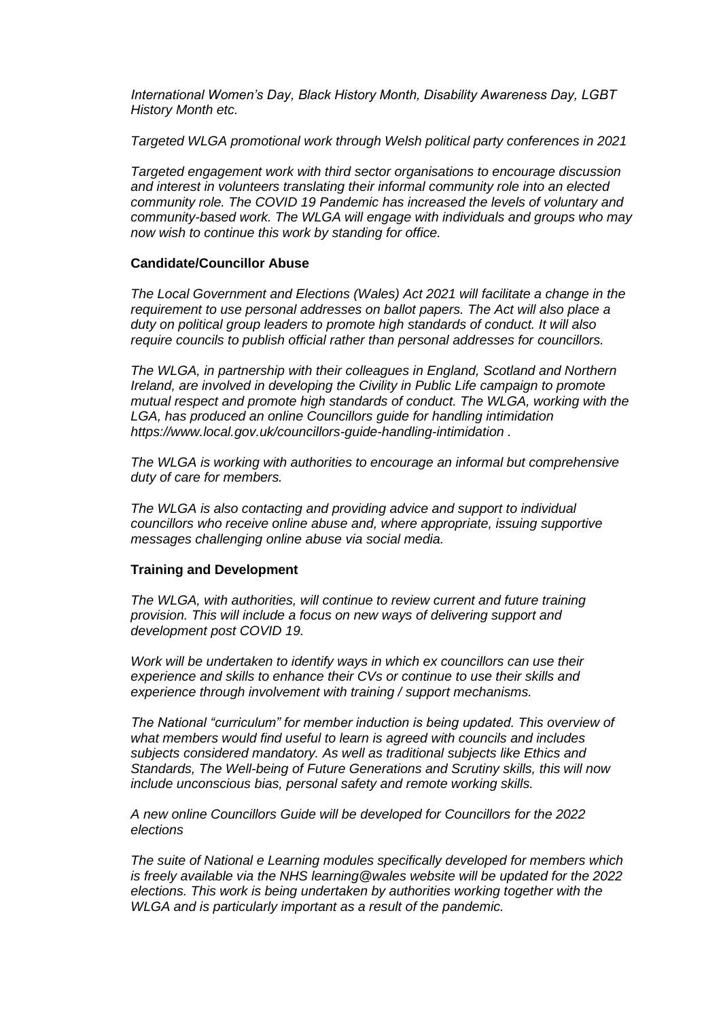*International Women's Day, Black History Month, Disability Awareness Day, LGBT History Month etc.*

*Targeted WLGA promotional work through Welsh political party conferences in 2021*

*Targeted engagement work with third sector organisations to encourage discussion and interest in volunteers translating their informal community role into an elected community role. The COVID 19 Pandemic has increased the levels of voluntary and community-based work. The WLGA will engage with individuals and groups who may now wish to continue this work by standing for office.*

### **Candidate/Councillor Abuse**

*The Local Government and Elections (Wales) Act 2021 will facilitate a change in the requirement to use personal addresses on ballot papers. The Act will also place a duty on political group leaders to promote high standards of conduct. It will also require councils to publish official rather than personal addresses for councillors.* 

*The WLGA, in partnership with their colleagues in England, Scotland and Northern Ireland, are involved in developing the Civility in Public Life campaign to promote mutual respect and promote high standards of conduct. The WLGA, working with the LGA, has produced an online Councillors guide for handling intimidation https://www.local.gov.uk/councillors-guide-handling-intimidation .*

*The WLGA is working with authorities to encourage an informal but comprehensive duty of care for members.* 

*The WLGA is also contacting and providing advice and support to individual councillors who receive online abuse and, where appropriate, issuing supportive messages challenging online abuse via social media.*

#### **Training and Development**

*The WLGA, with authorities, will continue to review current and future training provision. This will include a focus on new ways of delivering support and development post COVID 19.*

*Work will be undertaken to identify ways in which ex councillors can use their experience and skills to enhance their CVs or continue to use their skills and experience through involvement with training / support mechanisms.*

*The National "curriculum" for member induction is being updated. This overview of what members would find useful to learn is agreed with councils and includes subjects considered mandatory. As well as traditional subjects like Ethics and Standards, The Well-being of Future Generations and Scrutiny skills, this will now include unconscious bias, personal safety and remote working skills.*

*A new online Councillors Guide will be developed for Councillors for the 2022 elections*

*The suite of National e Learning modules specifically developed for members which is freely available via the NHS learning@wales website will be updated for the 2022 elections. This work is being undertaken by authorities working together with the WLGA and is particularly important as a result of the pandemic.*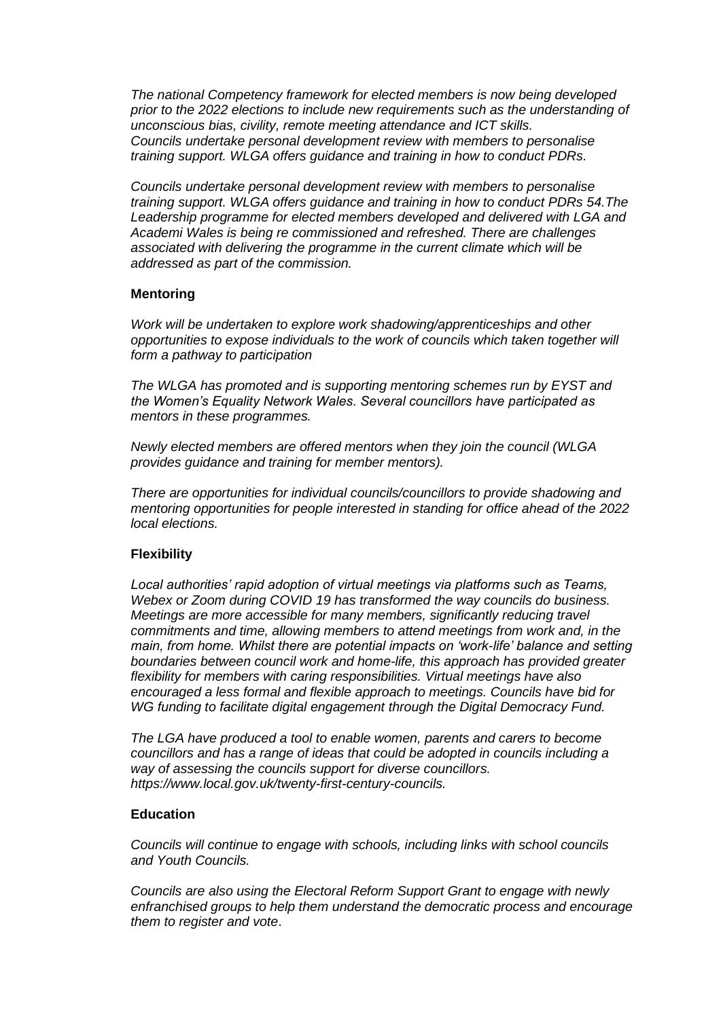*The national Competency framework for elected members is now being developed prior to the 2022 elections to include new requirements such as the understanding of unconscious bias, civility, remote meeting attendance and ICT skills. Councils undertake personal development review with members to personalise training support. WLGA offers guidance and training in how to conduct PDRs.*

*Councils undertake personal development review with members to personalise training support. WLGA offers guidance and training in how to conduct PDRs 54.The Leadership programme for elected members developed and delivered with LGA and Academi Wales is being re commissioned and refreshed. There are challenges associated with delivering the programme in the current climate which will be addressed as part of the commission.*

#### **Mentoring**

*Work will be undertaken to explore work shadowing/apprenticeships and other opportunities to expose individuals to the work of councils which taken together will form a pathway to participation*

*The WLGA has promoted and is supporting mentoring schemes run by EYST and the Women's Equality Network Wales. Several councillors have participated as mentors in these programmes.*

*Newly elected members are offered mentors when they join the council (WLGA provides guidance and training for member mentors).*

*There are opportunities for individual councils/councillors to provide shadowing and mentoring opportunities for people interested in standing for office ahead of the 2022 local elections.*

#### **Flexibility**

*Local authorities' rapid adoption of virtual meetings via platforms such as Teams, Webex or Zoom during COVID 19 has transformed the way councils do business. Meetings are more accessible for many members, significantly reducing travel commitments and time, allowing members to attend meetings from work and, in the main, from home. Whilst there are potential impacts on 'work-life' balance and setting boundaries between council work and home-life, this approach has provided greater flexibility for members with caring responsibilities. Virtual meetings have also encouraged a less formal and flexible approach to meetings. Councils have bid for WG funding to facilitate digital engagement through the Digital Democracy Fund.* 

*The LGA have produced a tool to enable women, parents and carers to become councillors and has a range of ideas that could be adopted in councils including a way of assessing the councils support for diverse councillors. [https://www.local.gov.uk/twenty-first-century-councils.](https://www.local.gov.uk/twenty-first-century-councils)*

#### **Education**

*Councils will continue to engage with schools, including links with school councils and Youth Councils.* 

*Councils are also using the Electoral Reform Support Grant to engage with newly enfranchised groups to help them understand the democratic process and encourage them to register and vote*.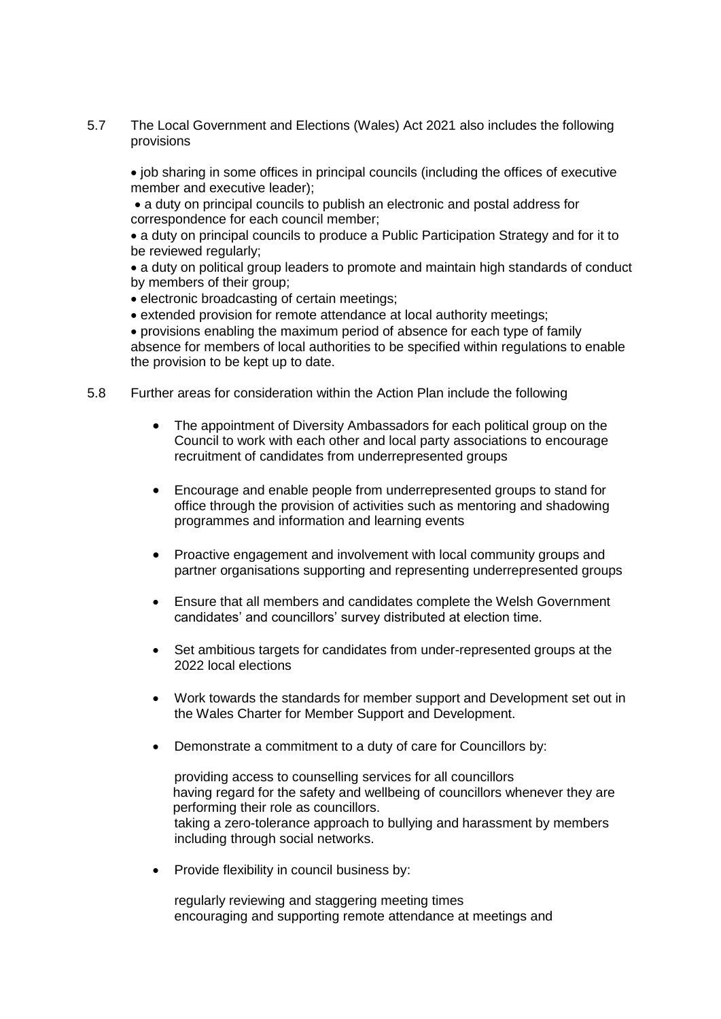5.7 The Local Government and Elections (Wales) Act 2021 also includes the following provisions

• job sharing in some offices in principal councils (including the offices of executive member and executive leader);

 a duty on principal councils to publish an electronic and postal address for correspondence for each council member;

• a duty on principal councils to produce a Public Participation Strategy and for it to be reviewed regularly;

 a duty on political group leaders to promote and maintain high standards of conduct by members of their group;

electronic broadcasting of certain meetings;

• extended provision for remote attendance at local authority meetings:

 provisions enabling the maximum period of absence for each type of family absence for members of local authorities to be specified within regulations to enable the provision to be kept up to date.

- 5.8 Further areas for consideration within the Action Plan include the following
	- The appointment of Diversity Ambassadors for each political group on the Council to work with each other and local party associations to encourage recruitment of candidates from underrepresented groups
	- Encourage and enable people from underrepresented groups to stand for office through the provision of activities such as mentoring and shadowing programmes and information and learning events
	- Proactive engagement and involvement with local community groups and partner organisations supporting and representing underrepresented groups
	- Ensure that all members and candidates complete the Welsh Government candidates' and councillors' survey distributed at election time.
	- Set ambitious targets for candidates from under-represented groups at the 2022 local elections
	- Work towards the standards for member support and Development set out in the Wales Charter for Member Support and Development.
	- Demonstrate a commitment to a duty of care for Councillors by:

providing access to counselling services for all councillors having regard for the safety and wellbeing of councillors whenever they are performing their role as councillors. taking a zero-tolerance approach to bullying and harassment by members including through social networks.

• Provide flexibility in council business by:

regularly reviewing and staggering meeting times encouraging and supporting remote attendance at meetings and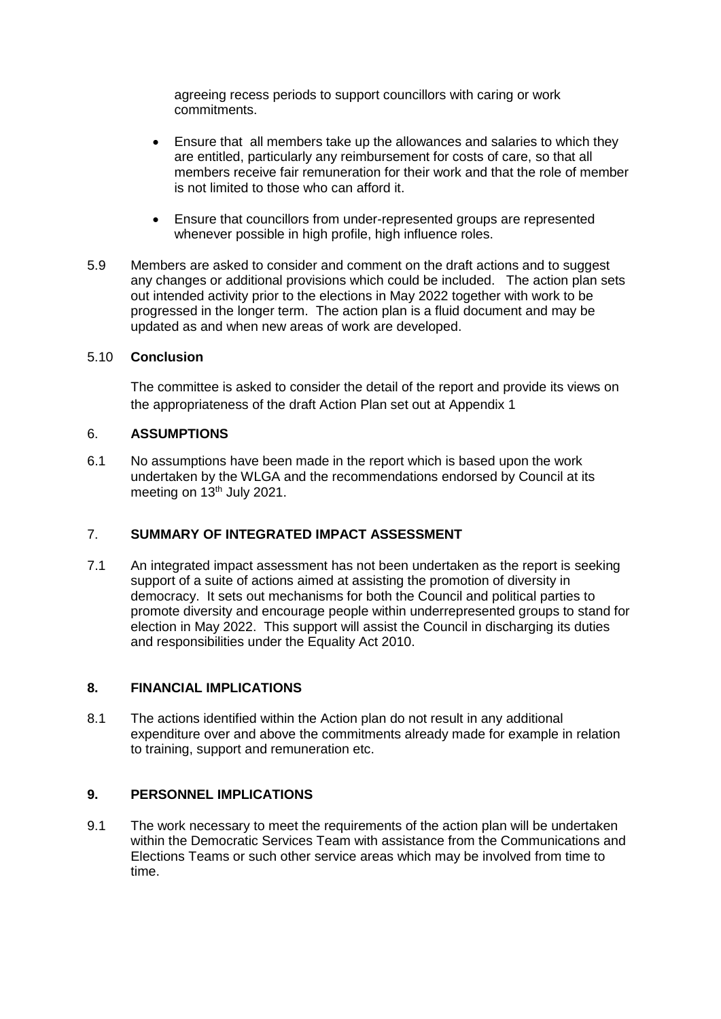agreeing recess periods to support councillors with caring or work commitments.

- Ensure that all members take up the allowances and salaries to which they are entitled, particularly any reimbursement for costs of care, so that all members receive fair remuneration for their work and that the role of member is not limited to those who can afford it.
- Ensure that councillors from under-represented groups are represented whenever possible in high profile, high influence roles.
- 5.9 Members are asked to consider and comment on the draft actions and to suggest any changes or additional provisions which could be included. The action plan sets out intended activity prior to the elections in May 2022 together with work to be progressed in the longer term. The action plan is a fluid document and may be updated as and when new areas of work are developed.

#### 5.10 **Conclusion**

The committee is asked to consider the detail of the report and provide its views on the appropriateness of the draft Action Plan set out at Appendix 1

#### 6. **ASSUMPTIONS**

6.1 No assumptions have been made in the report which is based upon the work undertaken by the WLGA and the recommendations endorsed by Council at its meeting on 13<sup>th</sup> July 2021.

# 7. **SUMMARY OF INTEGRATED IMPACT ASSESSMENT**

7.1 An integrated impact assessment has not been undertaken as the report is seeking support of a suite of actions aimed at assisting the promotion of diversity in democracy. It sets out mechanisms for both the Council and political parties to promote diversity and encourage people within underrepresented groups to stand for election in May 2022. This support will assist the Council in discharging its duties and responsibilities under the Equality Act 2010.

# **8. FINANCIAL IMPLICATIONS**

8.1 The actions identified within the Action plan do not result in any additional expenditure over and above the commitments already made for example in relation to training, support and remuneration etc.

# **9. PERSONNEL IMPLICATIONS**

9.1 The work necessary to meet the requirements of the action plan will be undertaken within the Democratic Services Team with assistance from the Communications and Elections Teams or such other service areas which may be involved from time to time.